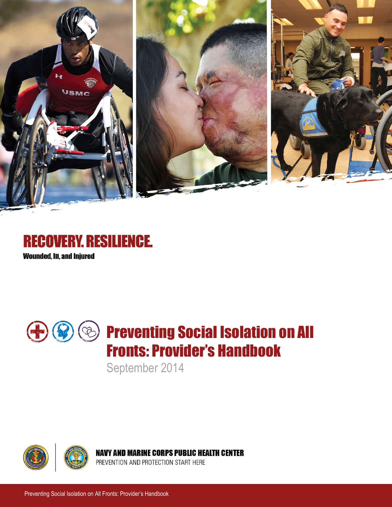





September 2014



**NAVY AND MARINE CORPS PUBLIC HEALTH CENTER** 

PREVENTION AND PROTECTION START HERE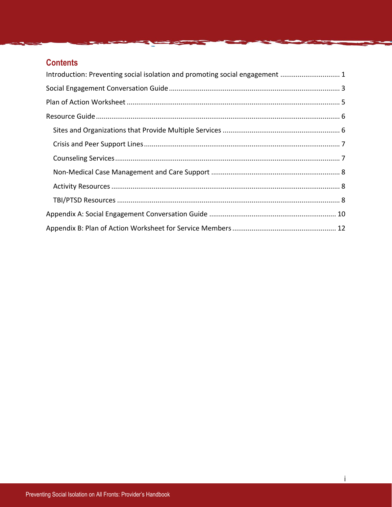# **Contents**

| Introduction: Preventing social isolation and promoting social engagement 1 |
|-----------------------------------------------------------------------------|
|                                                                             |
|                                                                             |
|                                                                             |
|                                                                             |
|                                                                             |
|                                                                             |
|                                                                             |
|                                                                             |
|                                                                             |
|                                                                             |
|                                                                             |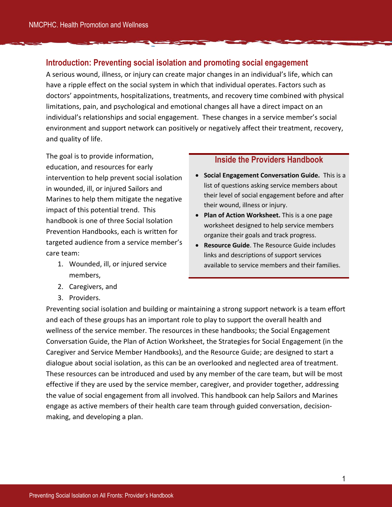#### <span id="page-2-0"></span>**Introduction: Preventing social isolation and promoting social engagement**

A serious wound, illness, or injury can create major changes in an individual's life, which can have a ripple effect on the social system in which that individual operates. Factors such as doctors' appointments, hospitalizations, treatments, and recovery time combined with physical limitations, pain, and psychological and emotional changes all have a direct impact on an individual's relationships and social engagement. These changes in a service member's social environment and support network can positively or negatively affect their treatment, recovery, and quality of life.

The goal is to provide information, education, and resources for early intervention to help prevent social isolation in wounded, ill, or injured Sailors and Marines to help them mitigate the negative impact of this potential trend. This handbook is one of three Social Isolation Prevention Handbooks, each is written for targeted audience from a service member's care team:

1. Wounded, ill, or injured service members,

#### **Inside the Providers Handbook**

- **Social Engagement Conversation Guide.** This is a list of questions asking service members about their level of social engagement before and after their wound, illness or injury.
- **Plan of Action Worksheet.** This is a one page worksheet designed to help service members organize their goals and track progress.
- **Resource Guide**. The Resource Guide includes links and descriptions of support services available to service members and their families.

- 2. Caregivers, and
- 3. Providers.

Preventing social isolation and building or maintaining a strong support network is a team effort and each of these groups has an important role to play to support the overall health and wellness of the service member. The resources in these handbooks; the Social Engagement Conversation Guide, the Plan of Action Worksheet, the Strategies for Social Engagement (in the Caregiver and Service Member Handbooks), and the Resource Guide; are designed to start a dialogue about social isolation, as this can be an overlooked and neglected area of treatment. These resources can be introduced and used by any member of the care team, but will be most effective if they are used by the service member, caregiver, and provider together, addressing the value of social engagement from all involved. This handbook can help Sailors and Marines engage as active members of their health care team through guided conversation, decisionmaking, and developing a plan.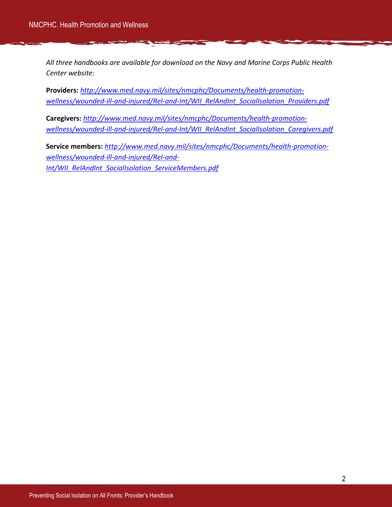*All three handbooks are available for download on the Navy and Marine Corps Public Health Center website:* 

**Providers:** *[http://www.med.navy.mil/sites/nmcphc/Documents/health-promotion](http://www.med.navy.mil/sites/nmcphc/Documents/health-promotion-wellness/wounded-ill-and-injured/Rel-and-Int/WII_RelAndInt_SocialIsolation_Providers.pdf)[wellness/wounded-ill-and-injured/Rel-and-Int/WII\\_RelAndInt\\_SocialIsolation\\_Providers.pdf](http://www.med.navy.mil/sites/nmcphc/Documents/health-promotion-wellness/wounded-ill-and-injured/Rel-and-Int/WII_RelAndInt_SocialIsolation_Providers.pdf)*

**Caregivers:** *[http://www.med.navy.mil/sites/nmcphc/Documents/health-promotion](http://www.med.navy.mil/sites/nmcphc/Documents/health-promotion-wellness/wounded-ill-and-injured/Rel-and-Int/WII_RelAndInt_SocialIsolation_Caregivers.pdf)[wellness/wounded-ill-and-injured/Rel-and-Int/WII\\_RelAndInt\\_SocialIsolation\\_Caregivers.pdf](http://www.med.navy.mil/sites/nmcphc/Documents/health-promotion-wellness/wounded-ill-and-injured/Rel-and-Int/WII_RelAndInt_SocialIsolation_Caregivers.pdf)*

**Service members:** *[http://www.med.navy.mil/sites/nmcphc/Documents/health-promotion](http://www.med.navy.mil/sites/nmcphc/Documents/health-promotion-wellness/wounded-ill-and-injured/Rel-and-Int/WII_RelAndInt_SocialIsolation_ServiceMembers.pdf)[wellness/wounded-ill-and-injured/Rel-and-](http://www.med.navy.mil/sites/nmcphc/Documents/health-promotion-wellness/wounded-ill-and-injured/Rel-and-Int/WII_RelAndInt_SocialIsolation_ServiceMembers.pdf)[Int/WII\\_RelAndInt\\_SocialIsolation\\_ServiceMembers.pdf](http://www.med.navy.mil/sites/nmcphc/Documents/health-promotion-wellness/wounded-ill-and-injured/Rel-and-Int/WII_RelAndInt_SocialIsolation_ServiceMembers.pdf)*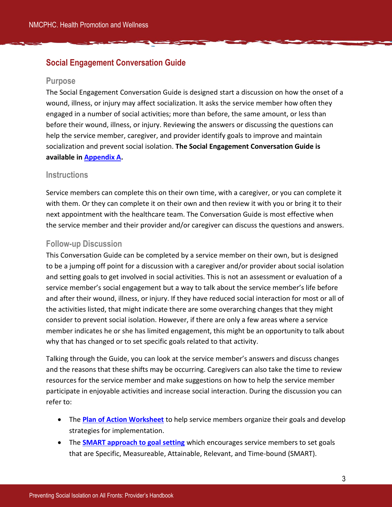# <span id="page-4-0"></span>**Social Engagement Conversation Guide**

#### **Purpose**

The Social Engagement Conversation Guide is designed start a discussion on how the onset of a wound, illness, or injury may affect socialization. It asks the service member how often they engaged in a number of social activities; more than before, the same amount, or less than before their wound, illness, or injury. Reviewing the answers or discussing the questions can help the service member, caregiver, and provider identify goals to improve and maintain socialization and prevent social isolation. **The Social Engagement Conversation Guide is available in [Appendix A.](#page-11-0)** 

#### **Instructions**

Service members can complete this on their own time, with a caregiver, or you can complete it with them. Or they can complete it on their own and then review it with you or bring it to their next appointment with the healthcare team. The Conversation Guide is most effective when the service member and their provider and/or caregiver can discuss the questions and answers.

#### **Follow-up Discussion**

This Conversation Guide can be completed by a service member on their own, but is designed to be a jumping off point for a discussion with a caregiver and/or provider about social isolation and setting goals to get involved in social activities. This is not an assessment or evaluation of a service member's social engagement but a way to talk about the service member's life before and after their wound, illness, or injury. If they have reduced social interaction for most or all of the activities listed, that might indicate there are some overarching changes that they might consider to prevent social isolation. However, if there are only a few areas where a service member indicates he or she has limited engagement, this might be an opportunity to talk about why that has changed or to set specific goals related to that activity.

Talking through the Guide, you can look at the service member's answers and discuss changes and the reasons that these shifts may be occurring. Caregivers can also take the time to review resources for the service member and make suggestions on how to help the service member participate in enjoyable activities and increase social interaction. During the discussion you can refer to:

- The **[Plan of Action Worksheet](#page-13-0)** to help service members organize their goals and develop strategies for implementation.
- **•** The **[SMART approach to goal setting](#page-6-1)** which encourages service members to set goals that are Specific, Measureable, Attainable, Relevant, and Time-bound (SMART).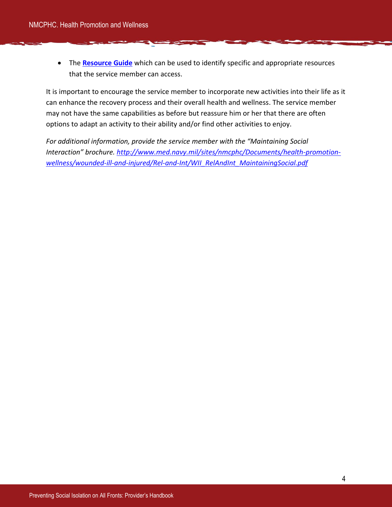The **[Resource Guide](#page-7-0)** which can be used to identify specific and appropriate resources that the service member can access.

It is important to encourage the service member to incorporate new activities into their life as it can enhance the recovery process and their overall health and wellness. The service member may not have the same capabilities as before but reassure him or her that there are often options to adapt an activity to their ability and/or find other activities to enjoy.

*For additional information, provide the service member with the "Maintaining Social Interaction" brochure. [http://www.med.navy.mil/sites/nmcphc/Documents/health-promotion](http://www.med.navy.mil/sites/nmcphc/Documents/health-promotion-wellness/wounded-ill-and-injured/Rel-and-Int/WII_RelAndInt_MaintainingSocial.pdf)[wellness/wounded-ill-and-injured/Rel-and-Int/WII\\_RelAndInt\\_MaintainingSocial.pdf](http://www.med.navy.mil/sites/nmcphc/Documents/health-promotion-wellness/wounded-ill-and-injured/Rel-and-Int/WII_RelAndInt_MaintainingSocial.pdf)*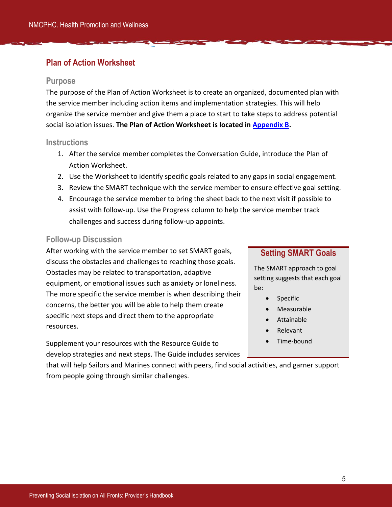# <span id="page-6-0"></span>**Plan of Action Worksheet**

#### **Purpose**

The purpose of the Plan of Action Worksheet is to create an organized, documented plan with the service member including action items and implementation strategies. This will help organize the service member and give them a place to start to take steps to address potential social isolation issues. **The Plan of Action Worksheet is located in [Appendix B.](#page-13-0)** 

#### **Instructions**

- 1. After the service member completes the Conversation Guide, introduce the Plan of Action Worksheet.
- 2. Use the Worksheet to identify specific goals related to any gaps in social engagement.
- 3. Review the SMART technique with the service member to ensure effective goal setting.
- 4. Encourage the service member to bring the sheet back to the next visit if possible to assist with follow-up. Use the Progress column to help the service member track challenges and success during follow-up appoints.

#### <span id="page-6-1"></span>**Follow-up Discussion**

After working with the service member to set SMART goals, discuss the obstacles and challenges to reaching those goals. Obstacles may be related to transportation, adaptive equipment, or emotional issues such as anxiety or loneliness. The more specific the service member is when describing their concerns, the better you will be able to help them create specific next steps and direct them to the appropriate resources.

Supplement your resources with the Resource Guide to develop strategies and next steps. The Guide includes services

#### **Setting SMART Goals**

The SMART approach to goal setting suggests that each goal be:

- Specific
- Measurable
- Attainable
- Relevant
- Time-bound

that will help Sailors and Marines connect with peers, find social activities, and garner support from people going through similar challenges.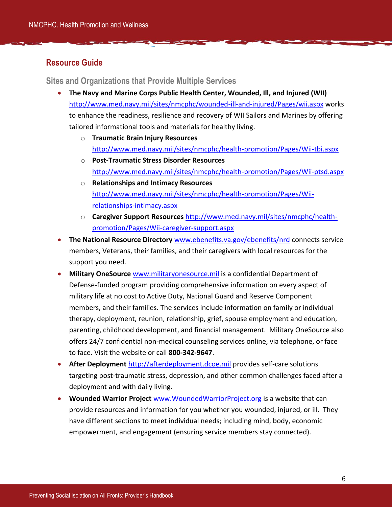### <span id="page-7-0"></span>**Resource Guide**

<span id="page-7-1"></span>**Sites and Organizations that Provide Multiple Services**

- **The Navy and Marine Corps Public Health Center, Wounded, Ill, and Injured (WII)**  <http://www.med.navy.mil/sites/nmcphc/wounded-ill-and-injured/Pages/wii.aspx> works to enhance the readiness, resilience and recovery of WII Sailors and Marines by offering tailored informational tools and materials for healthy living.
	- o **Traumatic Brain Injury Resources**  <http://www.med.navy.mil/sites/nmcphc/health-promotion/Pages/Wii-tbi.aspx>
	- o **Post-Traumatic Stress Disorder Resources**  <http://www.med.navy.mil/sites/nmcphc/health-promotion/Pages/Wii-ptsd.aspx>
	- o **Relationships and Intimacy Resources**  [http://www.med.navy.mil/sites/nmcphc/health-promotion/Pages/Wii](http://www.med.navy.mil/sites/nmcphc/health-promotion/Pages/Wii-relationships-intimacy.aspx)[relationships-intimacy.aspx](http://www.med.navy.mil/sites/nmcphc/health-promotion/Pages/Wii-relationships-intimacy.aspx)
	- o **Caregiver Support Resources** [http://www.med.navy.mil/sites/nmcphc/health](http://www.med.navy.mil/sites/nmcphc/health-promotion/Pages/Wii-caregiver-support.aspx)[promotion/Pages/Wii-caregiver-support.aspx](http://www.med.navy.mil/sites/nmcphc/health-promotion/Pages/Wii-caregiver-support.aspx)
- **The National Resource Directory** [www.ebenefits.va.gov/ebenefits/nrd](http://www.ebenefits.va.gov/ebenefits/nrd) connects service members, Veterans, their families, and their caregivers with local resources for the support you need.
- **Military OneSource** [www.militaryonesource.mil](http://www.militaryonesource.mil/) is a confidential Department of Defense-funded program providing comprehensive information on every aspect of military life at no cost to Active Duty, National Guard and Reserve Component members, and their families. The services include information on family or individual therapy, deployment, reunion, relationship, grief, spouse employment and education, parenting, childhood development, and financial management. Military OneSource also offers 24/7 confidential non-medical counseling services online, via telephone, or face to face. Visit the website or call **800-342-9647**.
- **After Deployment** [http://afterdeployment.dcoe.mil](http://afterdeployment.dcoe.mil/) provides self-care solutions targeting post-traumatic stress, depression, and other common challenges faced after a deployment and with daily living.
- **Wounded Warrior Project** [www.WoundedWarriorProject.org](http://www.woundedwarriorproject.org/) is a website that can provide resources and information for you whether you wounded, injured, or ill. They have different sections to meet individual needs; including mind, body, economic empowerment, and engagement (ensuring service members stay connected).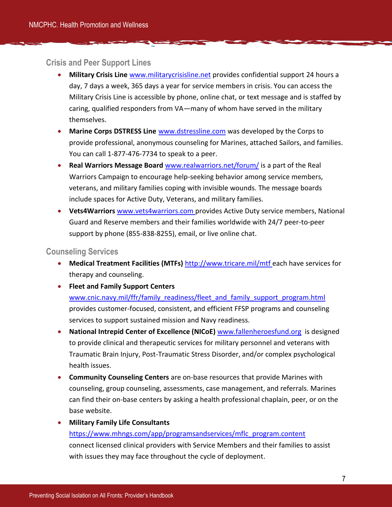#### <span id="page-8-0"></span>**Crisis and Peer Support Lines**

- **Military Crisis Line** [www.militarycrisisline.net](http://www.militarycrisisline.net/) provides confidential support 24 hours a day, 7 days a week, 365 days a year for service members in crisis. You can access the Military Crisis Line is accessible by phone, online chat, or text message and is staffed by caring, qualified responders from VA—many of whom have served in the military themselves.
- **Marine Corps DSTRESS Line** [www.dstressline.com](http://www.dstressline.com/) was developed by the Corps to provide professional, anonymous counseling for Marines, attached Sailors, and families. You can call 1-877-476-7734 to speak to a peer.
- **Real Warriors Message Board** [www.realwarriors.net/forum/](http://www.realwarriors.net/forum/) is a part of the Real Warriors Campaign to encourage help-seeking behavior among service members, veterans, and military families coping with invisible wounds. The message boards include spaces for Active Duty, Veterans, and military families.
- **Vets4Warriors** [www.vets4warriors.com](http://www.vets4warriors.com/) provides Active Duty service members, National Guard and Reserve members and their families worldwide with 24/7 peer-to-peer support by phone (855-838-8255), email, or live online chat.

#### <span id="page-8-1"></span>**Counseling Services**

- **Medical Treatment Facilities (MTFs)** <http://www.tricare.mil/mtf> each have services for therapy and counseling.
- **Fleet and Family Support Centers**

[www.cnic.navy.mil/ffr/family\\_readiness/fleet\\_and\\_family\\_support\\_program.html](http://www.cnic.navy.mil/ffr/family_readiness/fleet_and_family_support_program.html) provides customer-focused, consistent, and efficient FFSP programs and counseling services to support sustained mission and Navy readiness.

- **National Intrepid Center of Excellence (NICoE)** [www.fallenheroesfund.org](http://www.fallenheroesfund.org/) is designed to provide clinical and therapeutic services for military personnel and veterans with Traumatic Brain Injury, Post-Traumatic Stress Disorder, and/or complex psychological health issues.
- **Community Counseling Centers** are on-base resources that provide Marines with counseling, group counseling, assessments, case management, and referrals. Marines can find their on-base centers by asking a health professional chaplain, peer, or on the base website.
- **Military Family Life Consultants**

# [https://www.mhngs.com/app/programsandservices/mflc\\_program.content](https://www.mhngs.com/app/programsandservices/mflc_program.content) connect licensed clinical providers with Service Members and their families to assist with issues they may face throughout the cycle of deployment.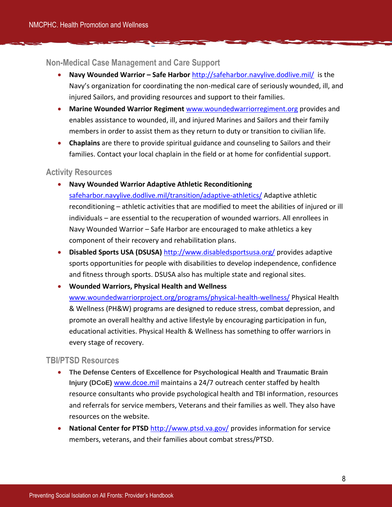#### <span id="page-9-0"></span>**Non-Medical Case Management and Care Support**

- **Navy Wounded Warrior – Safe Harbor** <http://safeharbor.navylive.dodlive.mil/>is the Navy's organization for coordinating the non-medical care of seriously wounded, ill, and injured Sailors, and providing resources and support to their families.
- **Marine Wounded Warrior Regiment** [www.woundedwarriorregiment.org](http://www.woundedwarriorregiment.org/) provides and enables assistance to wounded, ill, and injured Marines and Sailors and their family members in order to assist them as they return to duty or transition to civilian life.
- **Chaplains** are there to provide spiritual guidance and counseling to Sailors and their families. Contact your local chaplain in the field or at home for confidential support.

#### <span id="page-9-1"></span>**Activity Resources**

- **Navy Wounded Warrior Adaptive Athletic Reconditioning** [safeharbor.navylive.dodlive.mil/transition/adaptive-athletics/](http://safeharbor.navylive.dodlive.mil/transition/adaptive-athletics/) Adaptive athletic reconditioning – athletic activities that are modified to meet the abilities of injured or ill individuals – are essential to the recuperation of wounded warriors. All enrollees in Navy Wounded Warrior – Safe Harbor are encouraged to make athletics a key component of their recovery and rehabilitation plans.
- **Disabled Sports USA (DSUSA)** <http://www.disabledsportsusa.org/> provides adaptive sports opportunities for people with disabilities to develop independence, confidence and fitness through sports. DSUSA also has multiple state and regional sites.
- **Wounded Warriors, Physical Health and Wellness**

[www.woundedwarriorproject.org/programs/physical-health-wellness/](http://www.woundedwarriorproject.org/programs/physical-health-wellness/) Physical Health & Wellness (PH&W) programs are designed to reduce stress, combat depression, and promote an overall healthy and active lifestyle by encouraging participation in fun, educational activities. Physical Health & Wellness has something to offer warriors in every stage of recovery.

#### <span id="page-9-2"></span>**TBI/PTSD Resources**

- **The Defense Centers of Excellence for Psychological Health and Traumatic Brain Injury (DCoE)** [www.dcoe.mil](http://www.dcoe.mil/) maintains a 24/7 outreach center staffed by health resource consultants who provide psychological health and TBI information, resources and referrals for service members, Veterans and their families as well. They also have resources on the website.
- **National Center for PTSD** <http://www.ptsd.va.gov/> provides information for service members, veterans, and their families about combat stress/PTSD.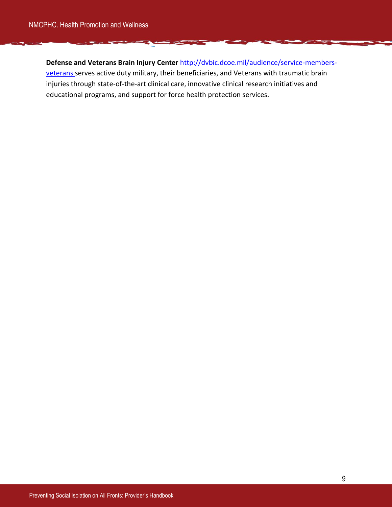**Defense and Veterans Brain Injury Center** [http://dvbic.dcoe.mil/audience/service-members](http://dvbic.dcoe.mil/audience/service-members-veterans)[veterans](http://dvbic.dcoe.mil/audience/service-members-veterans) serves active duty military, their beneficiaries, and Veterans with traumatic brain injuries through state-of-the-art clinical care, innovative clinical research initiatives and educational programs, and support for force health protection services.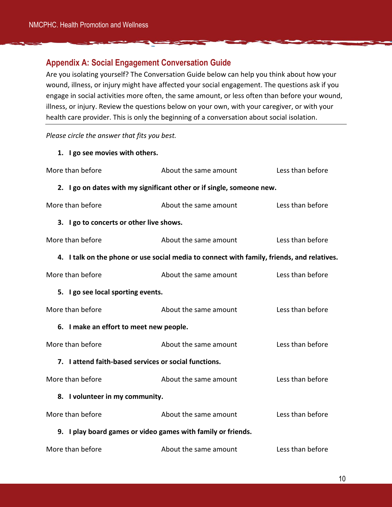# <span id="page-11-0"></span>**Appendix A: Social Engagement Conversation Guide**

Are you isolating yourself? The Conversation Guide below can help you think about how your wound, illness, or injury might have affected your social engagement. The questions ask if you engage in social activities more often, the same amount, or less often than before your wound, illness, or injury. Review the questions below on your own, with your caregiver, or with your health care provider. This is only the beginning of a conversation about social isolation.

*Please circle the answer that fits you best.* 

**1. I go see movies with others.** 

| More than before                                                                           | About the same amount | Less than before |  |  |  |
|--------------------------------------------------------------------------------------------|-----------------------|------------------|--|--|--|
| 2. I go on dates with my significant other or if single, someone new.                      |                       |                  |  |  |  |
| More than before                                                                           | About the same amount | Less than before |  |  |  |
| 3. I go to concerts or other live shows.                                                   |                       |                  |  |  |  |
| More than before                                                                           | About the same amount | Less than before |  |  |  |
| 4. I talk on the phone or use social media to connect with family, friends, and relatives. |                       |                  |  |  |  |
| More than before                                                                           | About the same amount | Less than before |  |  |  |
| 5. I go see local sporting events.                                                         |                       |                  |  |  |  |
| More than before                                                                           | About the same amount | Less than before |  |  |  |
| 6. I make an effort to meet new people.                                                    |                       |                  |  |  |  |
| More than before                                                                           | About the same amount | Less than before |  |  |  |
| 7. I attend faith-based services or social functions.                                      |                       |                  |  |  |  |
| More than before                                                                           | About the same amount | Less than before |  |  |  |
| 8. I volunteer in my community.                                                            |                       |                  |  |  |  |
| More than before                                                                           | About the same amount | Less than before |  |  |  |
| 9. I play board games or video games with family or friends.                               |                       |                  |  |  |  |
| More than before                                                                           | About the same amount | Less than before |  |  |  |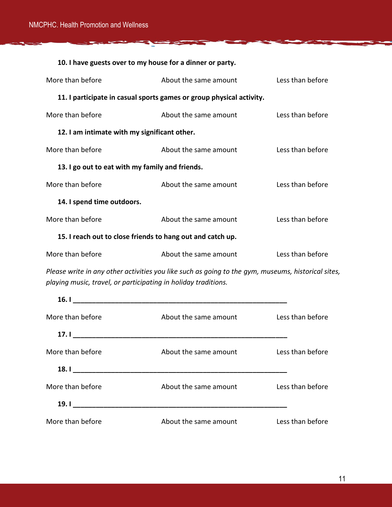| 10. I have guests over to my house for a dinner or party.            |                       |                  |  |  |
|----------------------------------------------------------------------|-----------------------|------------------|--|--|
| More than before                                                     | About the same amount | Less than before |  |  |
| 11. I participate in casual sports games or group physical activity. |                       |                  |  |  |
| More than before                                                     | About the same amount | Less than before |  |  |
| 12. I am intimate with my significant other.                         |                       |                  |  |  |
| More than before                                                     | About the same amount | Less than before |  |  |
| 13. I go out to eat with my family and friends.                      |                       |                  |  |  |
| More than before                                                     | About the same amount | Less than before |  |  |
| 14. I spend time outdoors.                                           |                       |                  |  |  |
| More than before                                                     | About the same amount | Less than before |  |  |
| 15. I reach out to close friends to hang out and catch up.           |                       |                  |  |  |
| More than before                                                     | About the same amount | Less than before |  |  |
|                                                                      |                       |                  |  |  |

 $\equiv$ 

*Please write in any other activities you like such as going to the gym, museums, historical sites, playing music, travel, or participating in holiday traditions.* 

| 16.1             |                       |                  |
|------------------|-----------------------|------------------|
| More than before | About the same amount | Less than before |
|                  |                       |                  |
| More than before | About the same amount | Less than before |
|                  |                       |                  |
| More than before | About the same amount | Less than before |
|                  |                       |                  |
| More than before | About the same amount | Less than before |